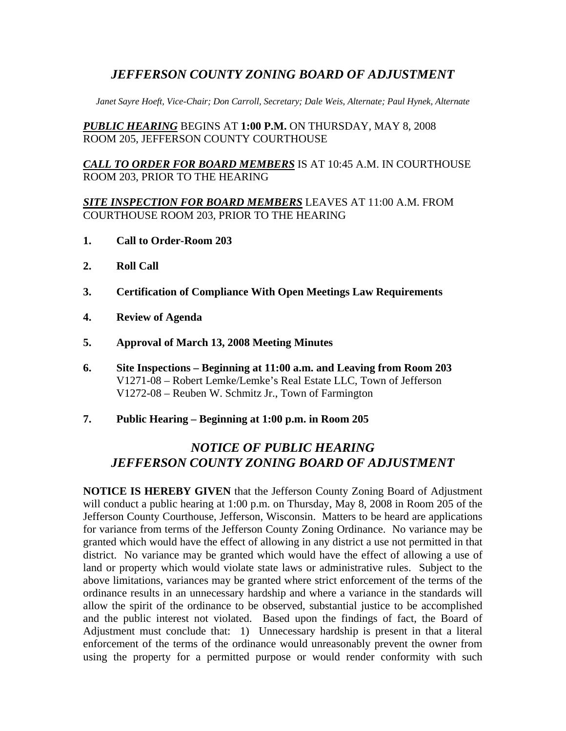## *JEFFERSON COUNTY ZONING BOARD OF ADJUSTMENT*

*Janet Sayre Hoeft, Vice-Chair; Don Carroll, Secretary; Dale Weis, Alternate; Paul Hynek, Alternate* 

*PUBLIC HEARING* BEGINS AT **1:00 P.M.** ON THURSDAY, MAY 8, 2008 ROOM 205, JEFFERSON COUNTY COURTHOUSE

*CALL TO ORDER FOR BOARD MEMBERS* IS AT 10:45 A.M. IN COURTHOUSE ROOM 203, PRIOR TO THE HEARING

#### *SITE INSPECTION FOR BOARD MEMBERS* LEAVES AT 11:00 A.M. FROM COURTHOUSE ROOM 203, PRIOR TO THE HEARING

- **1. Call to Order-Room 203**
- **2. Roll Call**
- **3. Certification of Compliance With Open Meetings Law Requirements**
- **4. Review of Agenda**
- **5. Approval of March 13, 2008 Meeting Minutes**
- **6. Site Inspections Beginning at 11:00 a.m. and Leaving from Room 203**  V1271-08 – Robert Lemke/Lemke's Real Estate LLC, Town of Jefferson V1272-08 – Reuben W. Schmitz Jr., Town of Farmington
- **7. Public Hearing Beginning at 1:00 p.m. in Room 205**

# *NOTICE OF PUBLIC HEARING JEFFERSON COUNTY ZONING BOARD OF ADJUSTMENT*

**NOTICE IS HEREBY GIVEN** that the Jefferson County Zoning Board of Adjustment will conduct a public hearing at 1:00 p.m. on Thursday, May 8, 2008 in Room 205 of the Jefferson County Courthouse, Jefferson, Wisconsin. Matters to be heard are applications for variance from terms of the Jefferson County Zoning Ordinance. No variance may be granted which would have the effect of allowing in any district a use not permitted in that district. No variance may be granted which would have the effect of allowing a use of land or property which would violate state laws or administrative rules. Subject to the above limitations, variances may be granted where strict enforcement of the terms of the ordinance results in an unnecessary hardship and where a variance in the standards will allow the spirit of the ordinance to be observed, substantial justice to be accomplished and the public interest not violated. Based upon the findings of fact, the Board of Adjustment must conclude that: 1) Unnecessary hardship is present in that a literal enforcement of the terms of the ordinance would unreasonably prevent the owner from using the property for a permitted purpose or would render conformity with such